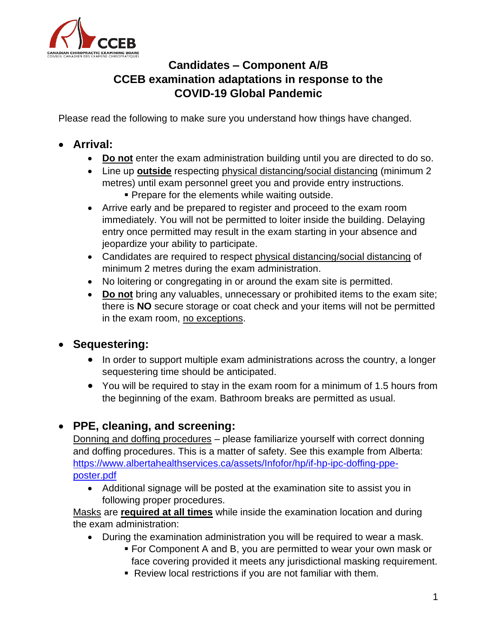

# **Candidates – Component A/B CCEB examination adaptations in response to the COVID-19 Global Pandemic**

Please read the following to make sure you understand how things have changed.

# • **Arrival:**

- **Do not** enter the exam administration building until you are directed to do so.
- Line up **outside** respecting physical distancing/social distancing (minimum 2 metres) until exam personnel greet you and provide entry instructions.
	- **Prepare for the elements while waiting outside.**
- Arrive early and be prepared to register and proceed to the exam room immediately. You will not be permitted to loiter inside the building. Delaying entry once permitted may result in the exam starting in your absence and jeopardize your ability to participate.
- Candidates are required to respect physical distancing/social distancing of minimum 2 metres during the exam administration.
- No loitering or congregating in or around the exam site is permitted.
- **Do not** bring any valuables, unnecessary or prohibited items to the exam site; there is **NO** secure storage or coat check and your items will not be permitted in the exam room, no exceptions.

## • **Sequestering:**

- In order to support multiple exam administrations across the country, a longer sequestering time should be anticipated.
- You will be required to stay in the exam room for a minimum of 1.5 hours from the beginning of the exam. Bathroom breaks are permitted as usual.

## • **PPE, cleaning, and screening:**

Donning and doffing procedures – please familiarize yourself with correct donning and doffing procedures. This is a matter of safety. See this example from Alberta: [https://www.albertahealthservices.ca/assets/Infofor/hp/if-hp-ipc-doffing-ppe](https://www.albertahealthservices.ca/assets/Infofor/hp/if-hp-ipc-doffing-ppe-poster.pdf)[poster.pdf](https://www.albertahealthservices.ca/assets/Infofor/hp/if-hp-ipc-doffing-ppe-poster.pdf)

• Additional signage will be posted at the examination site to assist you in following proper procedures.

Masks are **required at all times** while inside the examination location and during the exam administration:

- During the examination administration you will be required to wear a mask.
	- For Component A and B, you are permitted to wear your own mask or face covering provided it meets any jurisdictional masking requirement.
	- Review local restrictions if you are not familiar with them.